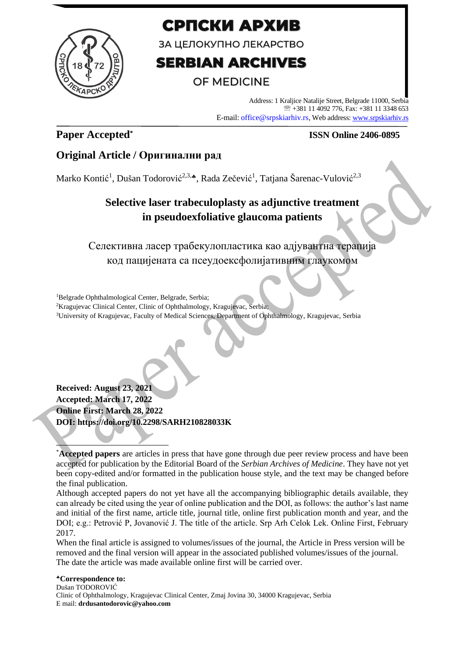

# СРПСКИ АРХИВ

ЗА ЦЕЛОКУПНО ЛЕКАРСТВО

# **SERBIAN ARCHIVES**

# OF MEDICINE

Address: 1 Kraljice Natalije Street, Belgrade 11000, Serbia +381 11 4092 776, Fax: +381 11 3348 653 E-mail: office@srpskiarhiv.rs, Web address[: www.srpskiarhiv.rs](http://www.srpskiarhiv.rs/)

# **Paper Accepted\***

## **ISSN Online 2406-0895**

## **Original Article / Оригинални рад**

Marko Kontić<sup>1</sup>, Dušan Todorović<sup>2,3,</sup>\*, Rada Zečević<sup>1</sup>, Tatjana Šarenac-Vulović<sup>2,3</sup>

# **Selective laser trabeculoplasty as adjunctive treatment in pseudoexfoliative glaucoma patients**

Селективна ласер трабекулопластика као адјувантна терапија код пацијената са псеудоексфолијативним глаукомом

<sup>1</sup>Belgrade Ophthalmological Center, Belgrade, Serbia;

<sup>2</sup>Kragujevac Clinical Center, Clinic of Ophthalmology, Kragujevac, Serbia;

<sup>3</sup>University of Kragujevac, Faculty of Medical Sciences, Department of Ophthalmology, Kragujevac, Serbia

**Received: August 23, 2021 Accepted: March 17, 2022 Online First: March 28, 2022 DOI: https://doi.org/10.2298/SARH210828033K**

Although accepted papers do not yet have all the accompanying bibliographic details available, they can already be cited using the year of online publication and the DOI, as follows: the author's last name and initial of the first name, article title, journal title, online first publication month and year, and the DOI; e.g.: Petrović P, Jovanović J. The title of the article. Srp Arh Celok Lek. Online First, February 2017.

When the final article is assigned to volumes/issues of the journal, the Article in Press version will be removed and the final version will appear in the associated published volumes/issues of the journal. The date the article was made available online first will be carried over.

<sup>\*</sup>**Accepted papers** are articles in press that have gone through due peer review process and have been accepted for publication by the Editorial Board of the *Serbian Archives of Medicine*. They have not yet been copy-edited and/or formatted in the publication house style, and the text may be changed before the final publication.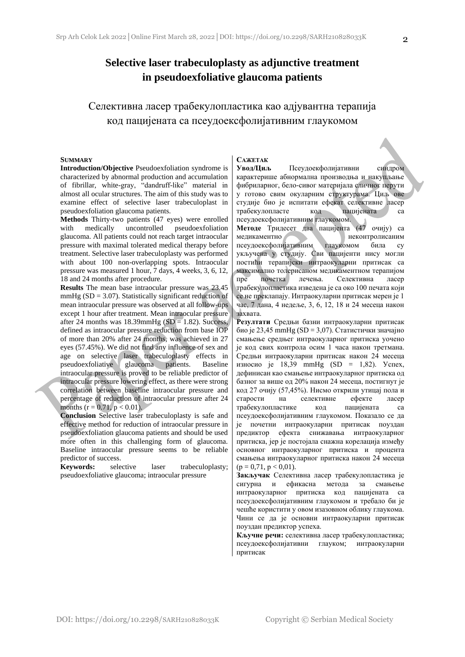### **Selective laser trabeculoplasty as adjunctive treatment in pseudoexfoliative glaucoma patients**

Селективна ласер трабекулопластика као адјувантна терапија код пацијената са псеудоексфолијативним глаукомом

#### **SUMMARY**

**Introduction/Objective** Pseudoexfoliation syndrome is characterized by abnormal production and accumulation of fibrillar, white-gray, "dandruff-like" material in almost all ocular structures. The aim of this study was to examine effect of selective laser trabeculoplast in pseudoexfoliation glaucoma patients.

**Methods** Thirty-two patients (47 eyes) were enrolled with medically uncontrolled pseudoexfoliation glaucoma. All patients could not reach target intraocular pressure with maximal tolerated medical therapy before treatment. Selective laser trabeculoplasty was performed with about 100 non-overlapping spots. Intraocular pressure was measured 1 hour, 7 days, 4 weeks, 3, 6, 12, 18 and 24 months after procedure.

**Results** The mean base intraocular pressure was 23.45 mmHg  $(SD = 3.07)$ . Statistically significant reduction of mean intraocular pressure was observed at all follow-ups except 1 hour after treatment. Mean intraocular pressure after 24 months was  $18.39$ mmHg (SD = 1.82). Success, defined as intraocular pressure reduction from base IOP of more than 20% after 24 months, was achieved in 27 eyes (57.45%). We did not find any influence of sex and age on selective laser trabeculoplasty effects in pseudoexfoliative glaucoma patients. Baseline intraocular pressure is proved to be reliable predictor of intraocular pressure lowering effect, as there were strong correlation between baseline intraocular pressure and percentage of reduction of intraocular pressure after 24 months ( $r = 0.71$ ,  $p < 0.01$ ).

**Conclusion** Selective laser trabeculoplasty is safe and effective method for reduction of intraocular pressure in pseudoexfoliation glaucoma patients and should be used more often in this challenging form of glaucoma. Baseline intraocular pressure seems to be reliable predictor of success.

**Keywords:** selective laser trabeculoplasty; pseudoexfoliative glaucoma; intraocular pressure

#### **САЖЕТАК**

**Увод/Циљ** Псеудоекфолијативни синдром карактерише абнормална производња и накупљање фибриларног, бело-сивог материјала сличног перути у готово свим окуларним структурама. Циљ ове студије био је испитати ефекат селективне ласер трабекулопласте код пацијената са псеудоексфолијативним глаукомом.

**Методе** Тридесет два пацијента (47 очију) са медикаментно неконтролисаним псеудоексфолијативним глаукомом била су укључена у студију. Сви пацијенти нису могли постићи терапијски интраокуларни притисак са максимално толерисаном медикаментном терапијом пре почетка лечења. Селективна ласер трабекулопластика изведена је са око 100 печата који се не преклапају. Интраокуларни притисак мерен је 1 час, 7 дана, 4 недеље, 3, 6, 12, 18 и 24 месеца након захвата.

**Резултати** Средњи базни интраокуларни притисак био је 23,45 mmHg (SD = 3,07). Статистички значајно смањење средњег интраокуларног притиска уочено је код свих контрола осим 1 часа након третмана. Средњи интраокуларни притисак након 24 месеца износио је 18,39 mmHg (SD = 1,82). Успех, дефинисан као смањење интраокуларног притиска од базног за више од 20% након 24 месеца, постигнут је код 27 очију (57,45%). Нисмо открили утицај пола и старости на селективне ефекте ласер трабекулопластике код пацијената са псеудоексфолијативним глаукомом. Показало се да је почетни интраокуларни притисак поуздан предиктор ефекта снижавања интраокуларног притиска, јер је постојала снажна корелација између основног интраокуларног притиска и процента смањења интраокуларног притиска након 24 месеца  $(p = 0.71, p < 0.01)$ .

**Закључак** Селективна ласер трабекулопластика је сигурна и ефикасна метода за смањење интраокуларног притиска код пацијената са псеудоексфолијативним глаукомом и требало би је чешће користити у овом изазовном облику глаукома. Чини се да је основни интраокуларни притисак поуздан предиктор успеха.

**Кључне речи:** селективна ласер трабекулопластика; псеудоексфолијативни глауком; интраокуларни притисак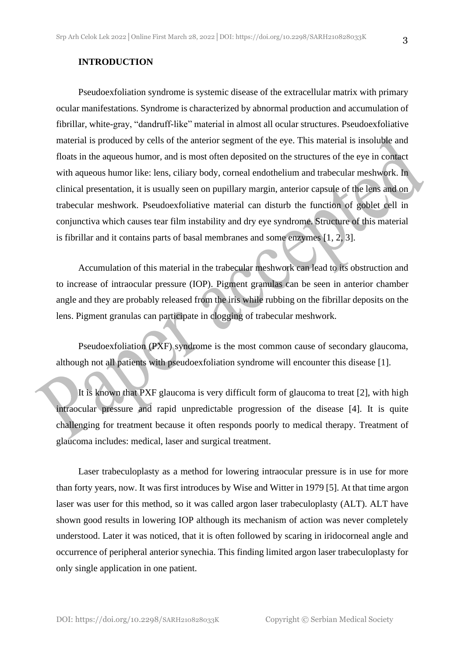Pseudoexfoliation syndrome is systemic disease of the extracellular matrix with primary ocular manifestations. Syndrome is characterized by abnormal production and accumulation of fibrillar, white-gray, "dandruff-like" material in almost all ocular structures. Pseudoexfoliative material is produced by cells of the anterior segment of the eye. This material is insoluble and floats in the aqueous humor, and is most often deposited on the structures of the eye in contact with aqueous humor like: lens, ciliary body, corneal endothelium and trabecular meshwork. In clinical presentation, it is usually seen on pupillary margin, anterior capsule of the lens and on trabecular meshwork. Pseudoexfoliative material can disturb the function of goblet cell in conjunctiva which causes tear film instability and dry eye syndrome. Structure of this material is fibrillar and it contains parts of basal membranes and some enzymes [1, 2, 3].

Accumulation of this material in the trabecular meshwork can lead to its obstruction and to increase of intraocular pressure (IOP). Pigment granulas can be seen in anterior chamber angle and they are probably released from the iris while rubbing on the fibrillar deposits on the lens. Pigment granulas can participate in clogging of trabecular meshwork.

Pseudoexfoliation (PXF) syndrome is the most common cause of secondary glaucoma, although not all patients with pseudoexfoliation syndrome will encounter this disease [1].

It is known that PXF glaucoma is very difficult form of glaucoma to treat [2], with high intraocular pressure and rapid unpredictable progression of the disease [4]. It is quite challenging for treatment because it often responds poorly to medical therapy. Treatment of glaucoma includes: medical, laser and surgical treatment.

Laser trabeculoplasty as a method for lowering intraocular pressure is in use for more than forty years, now. It was first introduces by Wise and Witter in 1979 [5]. At that time argon laser was user for this method, so it was called argon laser trabeculoplasty (ALT). ALT have shown good results in lowering IOP although its mechanism of action was never completely understood. Later it was noticed, that it is often followed by scaring in iridocorneal angle and occurrence of peripheral anterior synechia. This finding limited argon laser trabeculoplasty for only single application in one patient.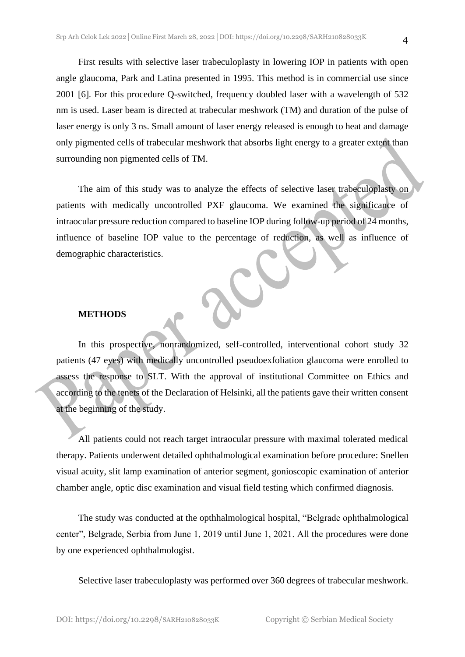First results with selective laser trabeculoplasty in lowering IOP in patients with open angle glaucoma, Park and Latina presented in 1995. This method is in commercial use since 2001 [6]. For this procedure Q-switched, frequency doubled laser with a wavelength of 532 nm is used. Laser beam is directed at trabecular meshwork (TM) and duration of the pulse of laser energy is only 3 ns. Small amount of laser energy released is enough to heat and damage only pigmented cells of trabecular meshwork that absorbs light energy to a greater extent than surrounding non pigmented cells of TM.

The aim of this study was to analyze the effects of selective laser trabeculoplasty on patients with medically uncontrolled PXF glaucoma. We examined the significance of intraocular pressure reduction compared to baseline IOP during follow-up period of 24 months, influence of baseline IOP value to the percentage of reduction, as well as influence of demographic characteristics.

### **METHODS**

In this prospective, nonrandomized, self-controlled, interventional cohort study 32 patients (47 eyes) with medically uncontrolled pseudoexfoliation glaucoma were enrolled to assess the response to SLT. With the approval of institutional Committee on Ethics and according to the tenets of the Declaration of Helsinki, all the patients gave their written consent at the beginning of the study.

All patients could not reach target intraocular pressure with maximal tolerated medical therapy. Patients underwent detailed ophthalmological examination before procedure: Snellen visual acuity, slit lamp examination of anterior segment, gonioscopic examination of anterior chamber angle, optic disc examination and visual field testing which confirmed diagnosis.

The study was conducted at the opthhalmological hospital, "Belgrade ophthalmological center", Belgrade, Serbia from June 1, 2019 until June 1, 2021. All the procedures were done by one experienced ophthalmologist.

Selective laser trabeculoplasty was performed over 360 degrees of trabecular meshwork.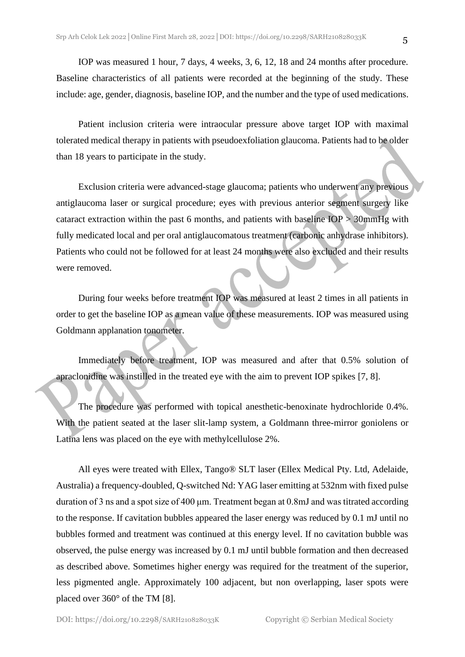IOP was measured 1 hour, 7 days, 4 weeks, 3, 6, 12, 18 and 24 months after procedure. Baseline characteristics of all patients were recorded at the beginning of the study. These include: age, gender, diagnosis, baseline IOP, and the number and the type of used medications.

Patient inclusion criteria were intraocular pressure above target IOP with maximal tolerated medical therapy in patients with pseudoexfoliation glaucoma. Patients had to be older than 18 years to participate in the study.

Exclusion criteria were advanced-stage glaucoma; patients who underwent any previous antiglaucoma laser or surgical procedure; eyes with previous anterior segment surgery like cataract extraction within the past 6 months, and patients with baseline  $IOP > 30$ mmHg with fully medicated local and per oral antiglaucomatous treatment (carbonic anhydrase inhibitors). Patients who could not be followed for at least 24 months were also excluded and their results were removed.

During four weeks before treatment IOP was measured at least 2 times in all patients in order to get the baseline IOP as a mean value of these measurements. IOP was measured using Goldmann applanation tonometer.

Immediately before treatment, IOP was measured and after that 0.5% solution of apraclonidine was instilled in the treated eye with the aim to prevent IOP spikes [7, 8].

The procedure was performed with topical anesthetic-benoxinate hydrochloride 0.4%. With the patient seated at the laser slit-lamp system, a Goldmann three-mirror goniolens or Latina lens was placed on the eye with methylcellulose 2%.

All eyes were treated with Ellex, Tango® SLT laser (Ellex Medical Pty. Ltd, Adelaide, Australia) a frequency-doubled, Q-switched Nd: YAG laser emitting at 532nm with fixed pulse duration of 3 ns and a spot size of 400 μm. Treatment began at 0.8mJ and was titrated according to the response. If cavitation bubbles appeared the laser energy was reduced by 0.1 mJ until no bubbles formed and treatment was continued at this energy level. If no cavitation bubble was observed, the pulse energy was increased by 0.1 mJ until bubble formation and then decreased as described above. Sometimes higher energy was required for the treatment of the superior, less pigmented angle. Approximately 100 adjacent, but non overlapping, laser spots were placed over 360° of the TM [8].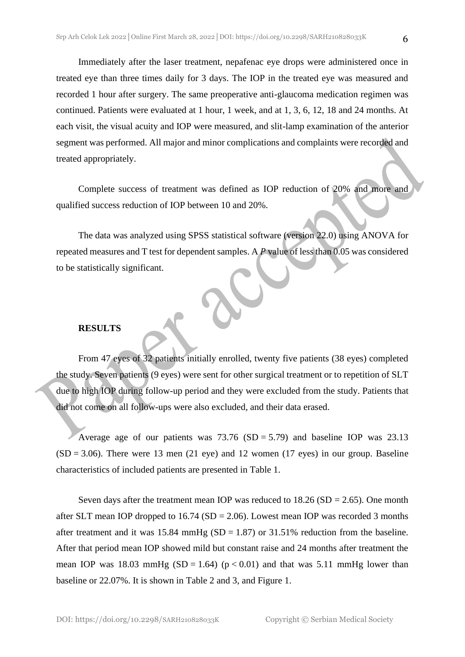Immediately after the laser treatment, nepafenac eye drops were administered once in treated eye than three times daily for 3 days. The IOP in the treated eye was measured and recorded 1 hour after surgery. The same preoperative anti-glaucoma medication regimen was continued. Patients were evaluated at 1 hour, 1 week, and at 1, 3, 6, 12, 18 and 24 months. At each visit, the visual acuity and IOP were measured, and slit-lamp examination of the anterior segment was performed. All major and minor complications and complaints were recorded and treated appropriately.

Complete success of treatment was defined as IOP reduction of 20% and more and qualified success reduction of IOP between 10 and 20%.

The data was analyzed using SPSS statistical software (version 22.0) using ANOVA for repeated measures and T test for dependent samples. A  $P$  value of less than 0.05 was considered to be statistically significant.

### **RESULTS**

From 47 eyes of 32 patients initially enrolled, twenty five patients (38 eyes) completed the study. Seven patients (9 eyes) were sent for other surgical treatment or to repetition of SLT due to high IOP during follow-up period and they were excluded from the study. Patients that did not come on all follow-ups were also excluded, and their data erased.

Average age of our patients was  $73.76$  (SD = 5.79) and baseline IOP was 23.13  $(SD = 3.06)$ . There were 13 men (21 eye) and 12 women (17 eyes) in our group. Baseline characteristics of included patients are presented in Table 1.

Seven days after the treatment mean IOP was reduced to  $18.26$  (SD = 2.65). One month after SLT mean IOP dropped to  $16.74$  (SD = 2.06). Lowest mean IOP was recorded 3 months after treatment and it was  $15.84 \text{ mmHg (SD = 1.87)}$  or  $31.51\%$  reduction from the baseline. After that period mean IOP showed mild but constant raise and 24 months after treatment the mean IOP was 18.03 mmHg (SD = 1.64) ( $p < 0.01$ ) and that was 5.11 mmHg lower than baseline or 22.07%. It is shown in Table 2 and 3, and Figure 1.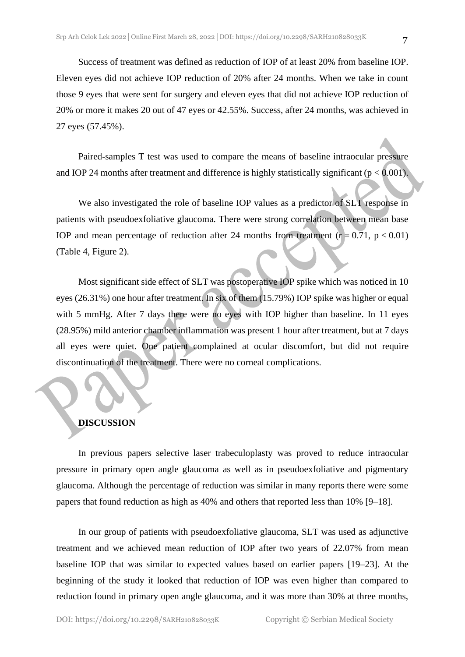Success of treatment was defined as reduction of IOP of at least 20% from baseline IOP. Eleven eyes did not achieve IOP reduction of 20% after 24 months. When we take in count those 9 eyes that were sent for surgery and eleven eyes that did not achieve IOP reduction of 20% or more it makes 20 out of 47 eyes or 42.55%. Success, after 24 months, was achieved in 27 eyes (57.45%).

Paired-samples T test was used to compare the means of baseline intraocular pressure and IOP 24 months after treatment and difference is highly statistically significant ( $p < 0.001$ ).

We also investigated the role of baseline IOP values as a predictor of SLT response in patients with pseudoexfoliative glaucoma. There were strong correlation between mean base IOP and mean percentage of reduction after 24 months from treatment  $(r = 0.71, p < 0.01)$ (Table 4, Figure 2).

Most significant side effect of SLT was postoperative IOP spike which was noticed in 10 eyes (26.31%) one hour after treatment. In six of them (15.79%) IOP spike was higher or equal with 5 mmHg. After 7 days there were no eyes with IOP higher than baseline. In 11 eyes (28.95%) mild anterior chamber inflammation was present 1 hour after treatment, but at 7 days all eyes were quiet. One patient complained at ocular discomfort, but did not require discontinuation of the treatment. There were no corneal complications.

### **DISCUSSION**

In previous papers selective laser trabeculoplasty was proved to reduce intraocular pressure in primary open angle glaucoma as well as in pseudoexfoliative and pigmentary glaucoma. Although the percentage of reduction was similar in many reports there were some papers that found reduction as high as 40% and others that reported less than 10% [9–18].

In our group of patients with pseudoexfoliative glaucoma, SLT was used as adjunctive treatment and we achieved mean reduction of IOP after two years of 22.07% from mean baseline IOP that was similar to expected values based on earlier papers [19–23]. At the beginning of the study it looked that reduction of IOP was even higher than compared to reduction found in primary open angle glaucoma, and it was more than 30% at three months,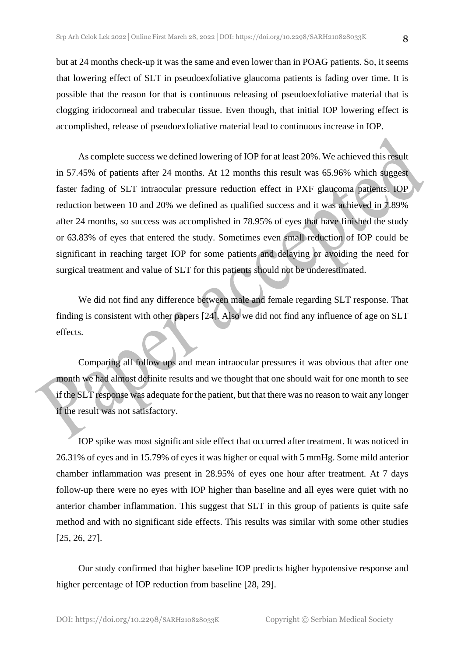but at 24 months check-up it was the same and even lower than in POAG patients. So, it seems that lowering effect of SLT in pseudoexfoliative glaucoma patients is fading over time. It is possible that the reason for that is continuous releasing of pseudoexfoliative material that is clogging iridocorneal and trabecular tissue. Even though, that initial IOP lowering effect is accomplished, release of pseudoexfoliative material lead to continuous increase in IOP.

As complete success we defined lowering of IOP for at least 20%. We achieved this result in 57.45% of patients after 24 months. At 12 months this result was 65.96% which suggest faster fading of SLT intraocular pressure reduction effect in PXF glaucoma patients. IOP reduction between 10 and 20% we defined as qualified success and it was achieved in 7.89% after 24 months, so success was accomplished in 78.95% of eyes that have finished the study or 63.83% of eyes that entered the study. Sometimes even small reduction of IOP could be significant in reaching target IOP for some patients and delaying or avoiding the need for surgical treatment and value of SLT for this patients should not be underestimated.

We did not find any difference between male and female regarding SLT response. That finding is consistent with other papers [24]. Also we did not find any influence of age on SLT effects.

Comparing all follow ups and mean intraocular pressures it was obvious that after one month we had almost definite results and we thought that one should wait for one month to see if the SLT response was adequate for the patient, but that there was no reason to wait any longer if the result was not satisfactory.

IOP spike was most significant side effect that occurred after treatment. It was noticed in 26.31% of eyes and in 15.79% of eyes it was higher or equal with 5 mmHg. Some mild anterior chamber inflammation was present in 28.95% of eyes one hour after treatment. At 7 days follow-up there were no eyes with IOP higher than baseline and all eyes were quiet with no anterior chamber inflammation. This suggest that SLT in this group of patients is quite safe method and with no significant side effects. This results was similar with some other studies [25, 26, 27].

Our study confirmed that higher baseline IOP predicts higher hypotensive response and higher percentage of IOP reduction from baseline [28, 29].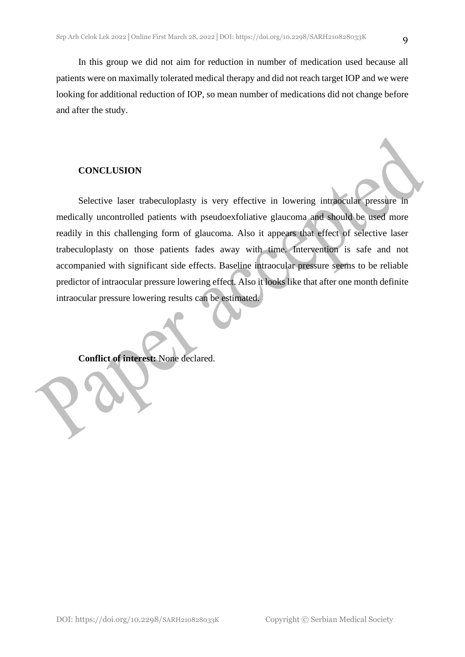In this group we did not aim for reduction in number of medication used because all patients were on maximally tolerated medical therapy and did not reach target IOP and we were looking for additional reduction of IOP, so mean number of medications did not change before and after the study.

### **CONCLUSION**

Selective laser trabeculoplasty is very effective in lowering intraocular pressure in medically uncontrolled patients with pseudoexfoliative glaucoma and should be used more readily in this challenging form of glaucoma. Also it appears that effect of selective laser trabeculoplasty on those patients fades away with time. Intervention is safe and not accompanied with significant side effects. Baseline intraocular pressure seems to be reliable predictor of intraocular pressure lowering effect. Also it looks like that after one month definite intraocular pressure lowering results can be estimated.

**Conflict of interest:** None declared.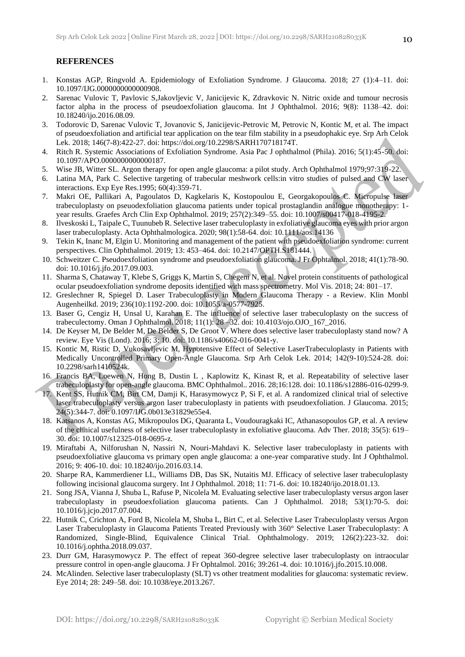### **REFERENCES**

- 1. Konstas AGP, Ringvold A. Epidemiology of Exfoliation Syndrome. J Glaucoma. 2018; 27 (1):4–11. doi: 10.1097/IJG.0000000000000908.
- 2. Sarenac Vulovic T, Pavlovic S,Jakovljevic V, Janicijevic K, Zdravkovic N. Nitric oxide and tumour necrosis factor alpha in the process of pseudoexfoliation glaucoma. Int J Ophthalmol. 2016; 9(8): 1138–42. doi: 10.18240/ijo.2016.08.09.
- 3. Todorovic D, Sarenac Vulovic T, Jovanovic S, Janicijevic-Petrovic M, Petrovic N, Kontic M, et al. The impact of pseudoexfoliation and artificial tear application on the tear film stability in a pseudophakic eye. Srp Arh Celok Lek. 2018; 146(7-8):422-27. doi: https://doi.org/10.2298/SARH170718174T.
- 4. Ritch R. Systemic Associations of Exfoliation Syndrome. Asia Pac J ophthalmol (Phila). 2016; 5(1):45-50. doi: 10.1097/APO.0000000000000187.
- 5. Wise JB, Witter SL. Argon therapy for open angle glaucoma: a pilot study. Arch Ophthalmol 1979;97:319-22.
- 6. Latina MA, Park C. Selective targeting of trabecular meshwork cells:in vitro studies of pulsed and CW laser interactions. Exp Eye Res.1995; 60(4):359-71.
- 7. Makri OE, Pallikari A, Pagoulatos D, Kagkelaris K, Kostopoulou E, Georgakopoulos C. Micropulse laser trabeculoplasty on pseuodexfoliation glaucoma patients under topical prostaglandin analogue monotherapy: 1 year results. Graefes Arch Clin Exp Ophthalmol. 2019; 257(2):349–55. doi: 10.1007/s00417-018-4195-2.
- 8. Ilveskoski L, Taipale C, Tuunubeb R. Selective laser trabeculoplasty in exfoliative glaucoma eyes with prior argon laser trabeculoplasty. Acta Ophthalmologica. 2020; 98(1):58-64. doi: 10.1111/aos.14136
- 9. Tekin K, Inanc M, Elgin U. Monitoring and management of the patient with pseudoexfoliation syndrome: current perspectives. Clin Ophthalmol. 2019; 13: 453–464. doi: 10.2147/OPTH.S181444.
- 10. Schweitzer C. Pseudoexfoliation syndrome and pseudoexfoliation glaucoma. J Fr Ophtalmol. 2018; 41(1):78-90. doi: 10.1016/j.jfo.2017.09.003.
- 11. Sharma S, Chataway T, Klebe S, Griggs K, Martin S, Chegeni N, et al. Novel protein constituents of pathological ocular pseudoexfoliation syndrome deposits identified with mass spectrometry. Mol Vis. 2018; 24: 801–17.
- 12. Greslechner R, Spiegel D. Laser Trabeculoplasty in Modern Glaucoma Therapy a Review. Klin Monbl Augenheilkd. 2019; 236(10):1192-200. doi: 10.1055/a-0577-7925.
- 13. Baser G, Cengiz H, Unsal U, Karahan E. The influence of selective laser trabeculoplasty on the success of trabeculectomy. Oman J Ophthalmol. 2018; 11(1): 28 –32. doi: 10.4103/ojo.OJO\_167\_2016.
- 14. De Keyser M, De Belder M, De Belder S, De Groot V. Where does selective laser trabeculoplasty stand now? A review. Eye Vis (Lond). 2016; 3: 10. doi: 10.1186/s40662-016-0041-y.
- 15. Kontic M, Ristic D, Vukosavljevic M, Hypotensive Effect of Selective LaserTrabeculoplasty in Patients with Medically Uncontrolled Primary Open-Angle Glaucoma. Srp Arh Celok Lek. 2014; 142(9-10):524-28. doi: 10.2298/sarh1410524k.
- 16. Francis BA, Loewen N, Hong B, Dustin L , Kaplowitz K, Kinast R, et al. Repeatability of selective laser trabeculoplasty for open-angle glaucoma. BMC Ophthalmol.. 2016. 28;16:128. doi: 10.1186/s12886-016-0299-9.
- 17. Kent SS, Hutnik CM, Birt CM, Damji K, Harasymowycz P, Si F, et al. A randomized clinical trial of selective laser trabeculoplasty versus argon laser trabeculoplasty in patients with pseudoexfoliation. J Glaucoma. 2015; 24(5):344-7. doi: 0.1097/IJG.0b013e31829e55e4.
- 18. Katsanos A, Konstas AG, Mikropoulos DG, Quaranta L, Voudouragkaki IC, Athanasopoulos GP, et al. A review of the clinical usefulness of selective laser trabeculoplasty in exfoliative glaucoma. Adv Ther. 2018; 35(5): 619– 30. doi: 10.1007/s12325-018-0695-z.
- 19. Miraftabi A, Nilforushan N, Nassiri N, Nouri-Mahdavi K. Selective laser trabeculoplasty in patients with pseudoexfoliative glaucoma vs primary open angle glaucoma: a one-year comparative study. Int J Ophthalmol. 2016; 9: 406-10. doi: 10.18240/ijo.2016.03.14.
- 20. Sharpe RA, Kammerdiener LL, Williams DB, Das SK, Nutaitis MJ. Efficacy of selective laser trabeculoplasty following incisional glaucoma surgery. Int J Ophthalmol. 2018; 11: 71-6. doi: 10.18240/ijo.2018.01.13.
- 21. Song JSA, Vianna J, Shuba L, Rafuse P, Nicolela M. Evaluating selective laser trabeculoplasty versus argon laser trabeculoplasty in pseudoexfoliation glaucoma patients. Can J Ophthalmol. 2018; 53(1):70-5. doi: 10.1016/j.jcjo.2017.07.004.
- 22. Hutnik C, Crichton A, Ford B, Nicolela M, Shuba L, Birt C, et al. Selective Laser Trabeculoplasty versus Argon Laser Trabeculoplasty in Glaucoma Patients Treated Previously with 360° Selective Laser Trabeculoplasty: A Randomized, Single-Blind, Equivalence Clinical Trial. Ophthalmology. 2019; 126(2):223-32. doi: 10.1016/j.ophtha.2018.09.037.
- 23. Durr GM, Harasymowycz P. The effect of repeat 360-degree selective laser trabeculoplasty on intraocular pressure control in open-angle glaucoma. J Fr Ophtalmol. 2016; 39:261-4. doi: 10.1016/j.jfo.2015.10.008.
- 24. McAlinden. Selective laser trabeculoplasty (SLT) vs other treatment modalities for glaucoma: systematic review. Eye 2014; 28: 249–58. doi: 10.1038/eye.2013.267.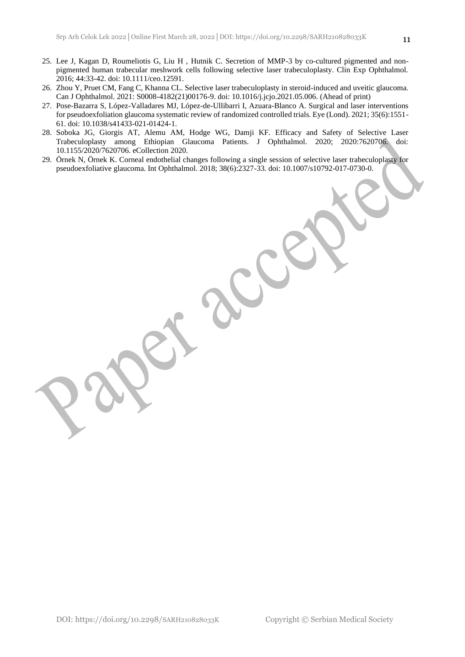- 25. Lee J, Kagan D, Roumeliotis G, Liu H , Hutnik C. Secretion of MMP-3 by co-cultured pigmented and nonpigmented human trabecular meshwork cells following selective laser trabeculoplasty. Clin Exp Ophthalmol. 2016; 44:33-42. doi: 10.1111/ceo.12591.
- 26. Zhou Y, Pruet CM, Fang C, Khanna CL. Selective laser trabeculoplasty in steroid-induced and uveitic glaucoma. Can J Ophthalmol. 2021: S0008-4182(21)00176-9. doi: 10.1016/j.jcjo.2021.05.006. (Ahead of print)
- 27. Pose-Bazarra S, López-Valladares MJ, López-de-Ullibarri I, Azuara-Blanco A. Surgical and laser interventions for pseudoexfoliation glaucoma systematic review of randomized controlled trials. Eye (Lond). 2021; 35(6):1551- 61. doi: 10.1038/s41433-021-01424-1.
- 28. Soboka JG, Giorgis AT, Alemu AM, Hodge WG, Damji KF. Efficacy and Safety of Selective Laser Trabeculoplasty among Ethiopian Glaucoma Patients. J Ophthalmol. 2020; 2020:7620706. doi: 10.1155/2020/7620706. eCollection 2020.
- 29. Örnek N, Örnek K. Corneal endothelial changes following a single session of selective laser trabeculoplasty for pseudoexfoliative glaucoma. Int Ophthalmol. 2018; 38(6):2327-33. doi: 10.1007/s10792-017-0730-0.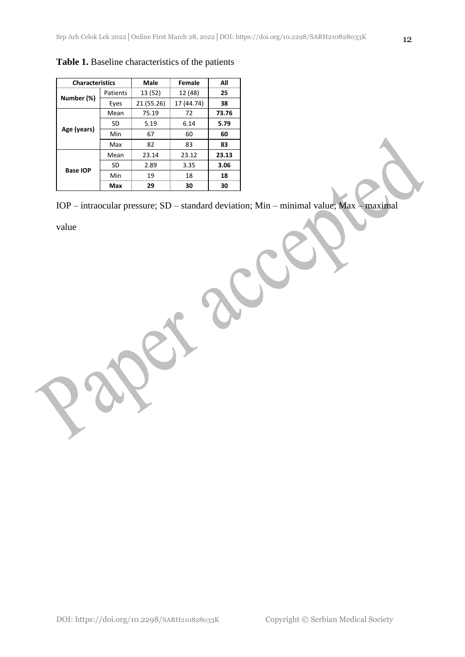| <b>Characteristics</b> |          | Male       | Female     | All   |
|------------------------|----------|------------|------------|-------|
| Number (%)             | Patients | 13 (52)    | 12 (48)    | 25    |
|                        | Eyes     | 21 (55.26) | 17 (44.74) | 38    |
|                        | Mean     | 75.19      | 72         | 73.76 |
| Age (years)            | SD       | 5.19       | 6.14       | 5.79  |
|                        | Min      | 67         | 60         | 60    |
|                        | Max      | 82         | 83         | 83    |
|                        | Mean     | 23.14      | 23.12      | 23.13 |
| <b>Base IOP</b>        | SD       | 2.89       | 3.35       | 3.06  |
|                        | Min      | 19         | 18         | 18    |
|                        | Max      | 29         | 30         | 30    |

**Table 1.** Baseline characteristics of the patients

IOP – intraocular pressure; SD – standard deviation; Min – minimal value; Max – maximal

value

DOI: https://doi.org/10.2298/SARH210828033K Copyright © Serbian Medical Society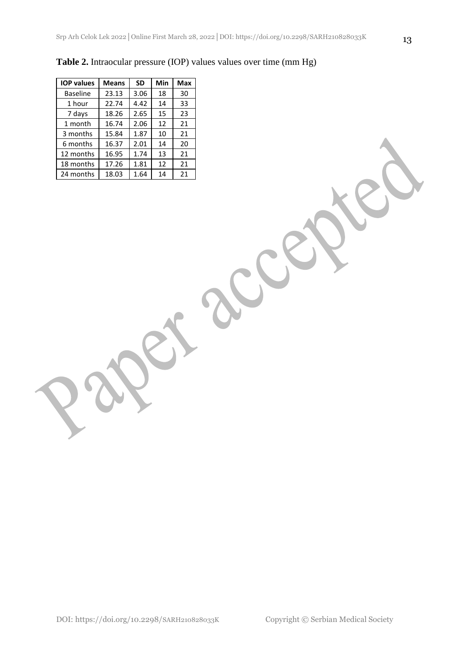| <b>IOP values</b> | <b>Means</b> | <b>SD</b> | Min | Max |
|-------------------|--------------|-----------|-----|-----|
| <b>Baseline</b>   | 23.13        | 3.06      | 18  | 30  |
| 1 hour            | 22.74        | 4.42      | 14  | 33  |
| 7 days            | 18.26        | 2.65      | 15  | 23  |
| 1 month           | 16.74        | 2.06      | 12  | 21  |
| 3 months          | 15.84        | 1.87      | 10  | 21  |
| 6 months          | 16.37        | 2.01      | 14  | 20  |
| 12 months         | 16.95        | 1.74      | 13  | 21  |
| 18 months         | 17.26        | 1.81      | 12  | 21  |
| 24 months         | 18.03        | 1.64      | 14  | 21  |

**Table 2.** Intraocular pressure (IOP) values values over time (mm Hg)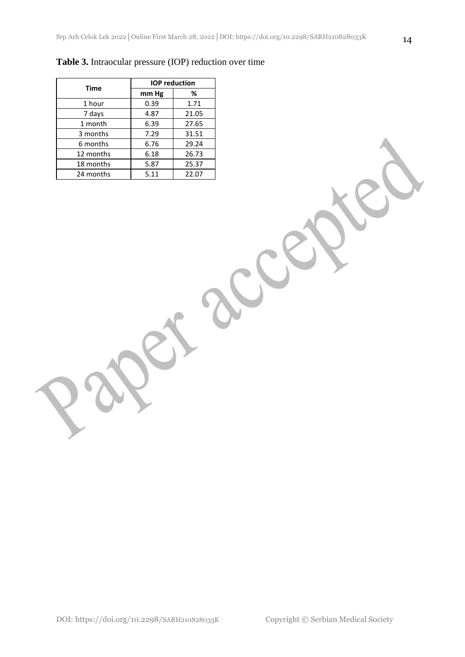| <b>Time</b> | <b>IOP</b> reduction |       |  |
|-------------|----------------------|-------|--|
|             | mm Hg                | ℅     |  |
| 1 hour      | 0.39                 | 1.71  |  |
| 7 days      | 4.87                 | 21.05 |  |
| 1 month     | 6.39                 | 27.65 |  |
| 3 months    | 7.29                 | 31.51 |  |
| 6 months    | 6.76                 | 29.24 |  |
| 12 months   | 6.18                 | 26.73 |  |
| 18 months   | 5.87                 | 25.37 |  |
| 24 months   | 5.11                 | 22.07 |  |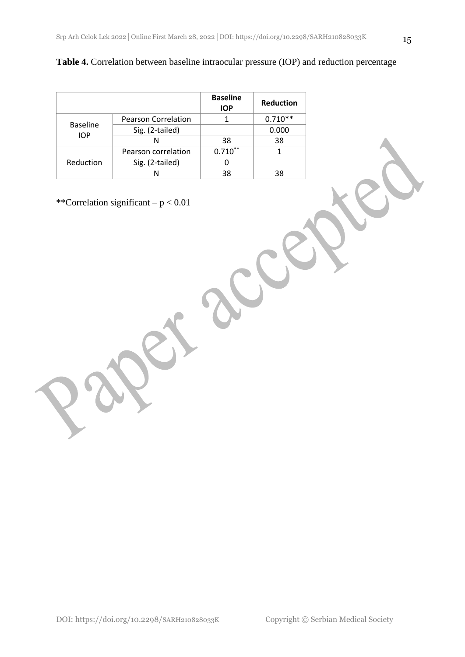| <b>Table 4.</b> Correlation between baseline intraocular pressure (IOP) and reduction percentage |  |  |  |
|--------------------------------------------------------------------------------------------------|--|--|--|
|--------------------------------------------------------------------------------------------------|--|--|--|

|                               |                            | <b>Baseline</b><br><b>IOP</b> | <b>Reduction</b> |
|-------------------------------|----------------------------|-------------------------------|------------------|
| <b>Baseline</b><br><b>IOP</b> | <b>Pearson Correlation</b> |                               | $0.710**$        |
|                               | Sig. (2-tailed)            |                               | 0.000            |
|                               | N                          | 38                            | 38               |
| Reduction                     | Pearson correlation        | $0.710***$                    |                  |
|                               | Sig. (2-tailed)            |                               |                  |
|                               | N                          | 38                            |                  |

\*\*Correlation significant – p < 0.01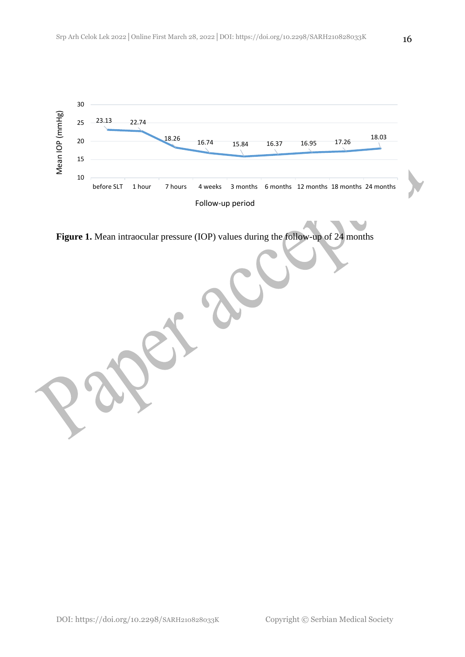

**Figure 1.** Mean intraocular pressure (IOP) values during the follow-up of 24 months